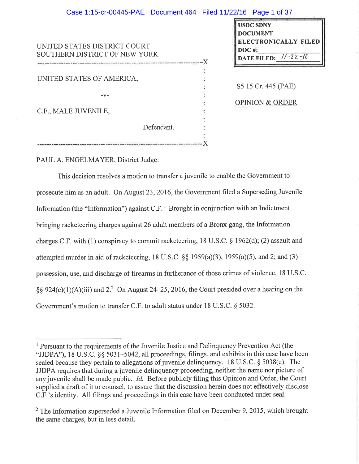## Case 1:15-cr-00445-PAE Document 464 Filed 11/22/16 Page 1 of 37

| UNITED STATES DISTRICT COURT<br>SOUTHERN DISTRICT OF NEW YORK |  |
|---------------------------------------------------------------|--|
|                                                               |  |
|                                                               |  |
| UNITED STATES OF AMERICA,                                     |  |
|                                                               |  |
| -v-                                                           |  |
|                                                               |  |
| C.F., MALE JUVENILE,                                          |  |
|                                                               |  |
| Defendant.                                                    |  |
|                                                               |  |
|                                                               |  |

| <b>USDC SDNY</b>     |                |  |
|----------------------|----------------|--|
| <b>DOCUMENT</b>      |                |  |
| ELECTRONICALLY FILED |                |  |
| $DOC$ #:             |                |  |
| <b>DATE FILED:</b>   | $11 - 22 - 16$ |  |

S5 15 Cr. 445 (PAE)

**OPINION & ORDER** 

PAUL A. ENGELMAYER, District Judge:

This decision resolves a motion to transfer a juvenile to enable the Government to prosecute him as an adult. On August 23, 2016, the Government filed a Superseding Juvenile Information (the "Information") against  $C.F.$ <sup>1</sup> Brought in conjunction with an Indictment bringing racketeering charges against 26 adult members of a Bronx gang, the Information charges C.F. with (1) conspiracy to commit racketering, 18 U.S.C.  $\S$  1962(d); (2) assault and attempted murder in aid of racketeering, 18 U.S.C.  $\S$  1959(a)(3), 1959(a)(5), and 2; and (3) possession, use, and discharge of firearms in furtherance of those crimes of violence, 18 U.S.C. §§ 924(c)(1)(A)(iii) and 2.<sup>2</sup> On August 24–25, 2016, the Court presided over a hearing on the Government's motion to transfer C.F. to adult status under 18 U.S.C. § 5032.

<sup>&</sup>lt;sup>1</sup> Pursuant to the requirements of the Juvenile Justice and Delinquency Prevention Act (the "JJDPA"), 18 U.S.C. §§ 5031–5042, all proceedings, filings, and exhibits in this case have been sealed because they pertain to allegations of juvenile delinquency. 18 U.S.C. § 5038(e). The JJDPA requires that during a juvenile delinquency proceeding, neither the name nor picture of any juvenile shall be made public. *Id.* Before publicly filing this Opinion and Order, the Court supplied a draft of it to counsel, to assure that the discussion herein does not effectively disclose C.F.'s identity. All filings and proceedings in this case have been conducted under seal.

 $2$  The Information superseded a Juvenile Information filed on December 9, 2015, which brought the same charges, but in less detail.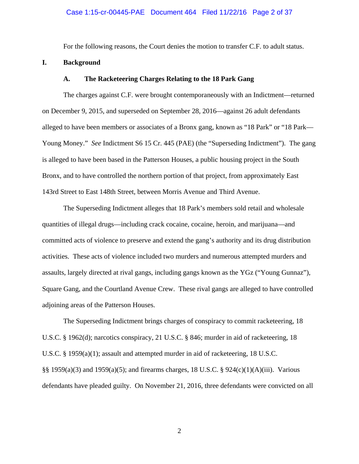For the following reasons, the Court denies the motion to transfer C.F. to adult status.

## **I. Background**

### **A. The Racketeering Charges Relating to the 18 Park Gang**

 The charges against C.F. were brought contemporaneously with an Indictment—returned on December 9, 2015, and superseded on September 28, 2016—against 26 adult defendants alleged to have been members or associates of a Bronx gang, known as "18 Park" or "18 Park— Young Money." *See* Indictment S6 15 Cr. 445 (PAE) (the "Superseding Indictment"). The gang is alleged to have been based in the Patterson Houses, a public housing project in the South Bronx, and to have controlled the northern portion of that project, from approximately East 143rd Street to East 148th Street, between Morris Avenue and Third Avenue.

 The Superseding Indictment alleges that 18 Park's members sold retail and wholesale quantities of illegal drugs—including crack cocaine, cocaine, heroin, and marijuana—and committed acts of violence to preserve and extend the gang's authority and its drug distribution activities. These acts of violence included two murders and numerous attempted murders and assaults, largely directed at rival gangs, including gangs known as the YGz ("Young Gunnaz"), Square Gang, and the Courtland Avenue Crew. These rival gangs are alleged to have controlled adjoining areas of the Patterson Houses.

The Superseding Indictment brings charges of conspiracy to commit racketeering, 18 U.S.C. § 1962(d); narcotics conspiracy, 21 U.S.C. § 846; murder in aid of racketeering, 18 U.S.C. § 1959(a)(1); assault and attempted murder in aid of racketeering, 18 U.S.C. §§ 1959(a)(3) and 1959(a)(5); and firearms charges, 18 U.S.C. § 924(c)(1)(A)(iii). Various defendants have pleaded guilty. On November 21, 2016, three defendants were convicted on all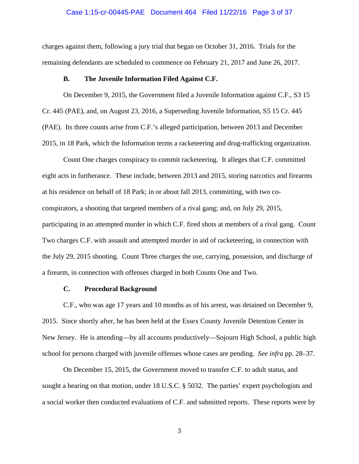## Case 1:15-cr-00445-PAE Document 464 Filed 11/22/16 Page 3 of 37

charges against them, following a jury trial that began on October 31, 2016. Trials for the remaining defendants are scheduled to commence on February 21, 2017 and June 26, 2017.

### **B. The Juvenile Information Filed Against C.F.**

 On December 9, 2015, the Government filed a Juvenile Information against C.F., S3 15 Cr. 445 (PAE), and, on August 23, 2016, a Superseding Juvenile Information, S5 15 Cr. 445 (PAE). Its three counts arise from C.F.'s alleged participation, between 2013 and December 2015, in 18 Park, which the Information terms a racketeering and drug-trafficking organization.

Count One charges conspiracy to commit racketeering. It alleges that C.F. committed eight acts in furtherance. These include, between 2013 and 2015, storing narcotics and firearms at his residence on behalf of 18 Park; in or about fall 2013, committing, with two coconspirators, a shooting that targeted members of a rival gang; and, on July 29, 2015, participating in an attempted murder in which C.F. fired shots at members of a rival gang. Count Two charges C.F. with assault and attempted murder in aid of racketeering, in connection with the July 29, 2015 shooting. Count Three charges the use, carrying, possession, and discharge of a firearm, in connection with offenses charged in both Counts One and Two.

## **C. Procedural Background**

 C.F., who was age 17 years and 10 months as of his arrest, was detained on December 9, 2015. Since shortly after, he has been held at the Essex County Juvenile Detention Center in New Jersey. He is attending—by all accounts productively—Sojourn High School, a public high school for persons charged with juvenile offenses whose cases are pending. *See infra* pp. 28–37*.* 

On December 15, 2015, the Government moved to transfer C.F. to adult status, and sought a hearing on that motion, under 18 U.S.C. § 5032. The parties' expert psychologists and a social worker then conducted evaluations of C.F. and submitted reports. These reports were by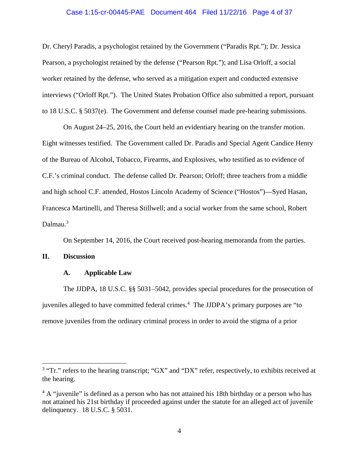### Case 1:15-cr-00445-PAE Document 464 Filed 11/22/16 Page 4 of 37

Dr. Cheryl Paradis, a psychologist retained by the Government ("Paradis Rpt."); Dr. Jessica Pearson, a psychologist retained by the defense ("Pearson Rpt."); and Lisa Orloff, a social worker retained by the defense, who served as a mitigation expert and conducted extensive interviews ("Orloff Rpt."). The United States Probation Office also submitted a report, pursuant to 18 U.S.C. § 5037(e). The Government and defense counsel made pre-hearing submissions.

 On August 24–25, 2016, the Court held an evidentiary hearing on the transfer motion. Eight witnesses testified. The Government called Dr. Paradis and Special Agent Candice Henry of the Bureau of Alcohol, Tobacco, Firearms, and Explosives, who testified as to evidence of C.F.'s criminal conduct. The defense called Dr. Pearson; Orloff; three teachers from a middle and high school C.F. attended, Hostos Lincoln Academy of Science ("Hostos")—Syed Hasan, Francesca Martinelli, and Theresa Stillwell; and a social worker from the same school, Robert Dalmau.<sup>3</sup>

On September 14, 2016, the Court received post-hearing memoranda from the parties.

## **II. Discussion**

 $\overline{a}$ 

### **A. Applicable Law**

The JJDPA, 18 U.S.C. §§ 5031–5042, provides special procedures for the prosecution of juveniles alleged to have committed federal crimes.<sup>4</sup> The JJDPA's primary purposes are "to remove juveniles from the ordinary criminal process in order to avoid the stigma of a prior

 $3$  "Tr." refers to the hearing transcript; "GX" and "DX" refer, respectively, to exhibits received at the hearing.

 $4 A$  "juvenile" is defined as a person who has not attained his 18th birthday or a person who has not attained his 21st birthday if proceeded against under the statute for an alleged act of juvenile delinquency. 18 U.S.C. § 5031.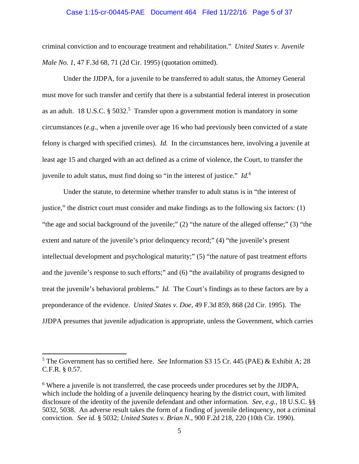### Case 1:15-cr-00445-PAE Document 464 Filed 11/22/16 Page 5 of 37

criminal conviction and to encourage treatment and rehabilitation." *United States v. Juvenile Male No. 1*, 47 F.3d 68, 71 (2d Cir. 1995) (quotation omitted).

Under the JJDPA, for a juvenile to be transferred to adult status, the Attorney General must move for such transfer and certify that there is a substantial federal interest in prosecution as an adult. 18 U.S.C.  $\S 5032$ <sup>5</sup> Transfer upon a government motion is mandatory in some circumstances (*e.g.*, when a juvenile over age 16 who had previously been convicted of a state felony is charged with specified crimes). *Id.* In the circumstances here, involving a juvenile at least age 15 and charged with an act defined as a crime of violence, the Court, to transfer the juvenile to adult status, must find doing so "in the interest of justice." *Id.*<sup>6</sup>

 Under the statute, to determine whether transfer to adult status is in "the interest of justice," the district court must consider and make findings as to the following six factors: (1) "the age and social background of the juvenile;" (2) "the nature of the alleged offense;" (3) "the extent and nature of the juvenile's prior delinquency record;" (4) "the juvenile's present intellectual development and psychological maturity;" (5) "the nature of past treatment efforts and the juvenile's response to such efforts;" and (6) "the availability of programs designed to treat the juvenile's behavioral problems." *Id.* The Court's findings as to these factors are by a preponderance of the evidence. *United States v. Doe*, 49 F.3d 859, 868 (2d Cir. 1995). The JJDPA presumes that juvenile adjudication is appropriate, unless the Government, which carries

 $\overline{a}$ 

<sup>5</sup> The Government has so certified here. *See* Information S3 15 Cr. 445 (PAE) & Exhibit A; 28 C.F.R. § 0.57.

<sup>&</sup>lt;sup>6</sup> Where a juvenile is not transferred, the case proceeds under procedures set by the JJDPA, which include the holding of a juvenile delinquency hearing by the district court, with limited disclosure of the identity of the juvenile defendant and other information. *See, e.g.*, 18 U.S.C. §§ 5032, 5038. An adverse result takes the form of a finding of juvenile delinquency, not a criminal conviction. *See id.* § 5032; *United States v. Brian N.*, 900 F.2d 218, 220 (10th Cir. 1990).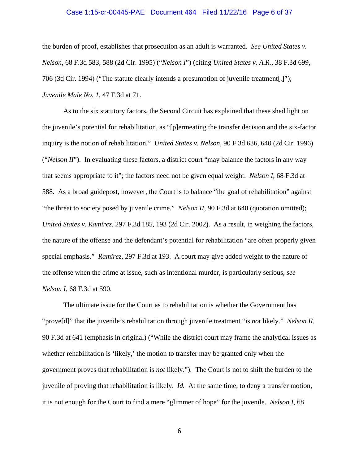# Case 1:15-cr-00445-PAE Document 464 Filed 11/22/16 Page 6 of 37

the burden of proof, establishes that prosecution as an adult is warranted. *See United States v. Nelson*, 68 F.3d 583, 588 (2d Cir. 1995) ("*Nelson I*") (citing *United States v. A.R.*, 38 F.3d 699, 706 (3d Cir. 1994) ("The statute clearly intends a presumption of juvenile treatment[.]"); *Juvenile Male No. 1*, 47 F.3d at 71.

 As to the six statutory factors, the Second Circuit has explained that these shed light on the juvenile's potential for rehabilitation, as "[p]ermeating the transfer decision and the six-factor inquiry is the notion of rehabilitation." *United States v. Nelson*, 90 F.3d 636, 640 (2d Cir. 1996) ("*Nelson II*"). In evaluating these factors, a district court "may balance the factors in any way that seems appropriate to it"; the factors need not be given equal weight. *Nelson I*, 68 F.3d at 588. As a broad guidepost, however, the Court is to balance "the goal of rehabilitation" against "the threat to society posed by juvenile crime." *Nelson II*, 90 F.3d at 640 (quotation omitted); *United States v. Ramirez*, 297 F.3d 185, 193 (2d Cir. 2002). As a result, in weighing the factors, the nature of the offense and the defendant's potential for rehabilitation "are often properly given special emphasis." *Ramirez*, 297 F.3d at 193. A court may give added weight to the nature of the offense when the crime at issue, such as intentional murder, is particularly serious, *see Nelson I*, 68 F*.*3d at 590.

 The ultimate issue for the Court as to rehabilitation is whether the Government has "prove[d]" that the juvenile's rehabilitation through juvenile treatment "is *not* likely." *Nelson II*, 90 F.3d at 641 (emphasis in original) ("While the district court may frame the analytical issues as whether rehabilitation is 'likely,' the motion to transfer may be granted only when the government proves that rehabilitation is *not* likely."). The Court is not to shift the burden to the juvenile of proving that rehabilitation is likely. *Id.* At the same time, to deny a transfer motion, it is not enough for the Court to find a mere "glimmer of hope" for the juvenile. *Nelson I*, 68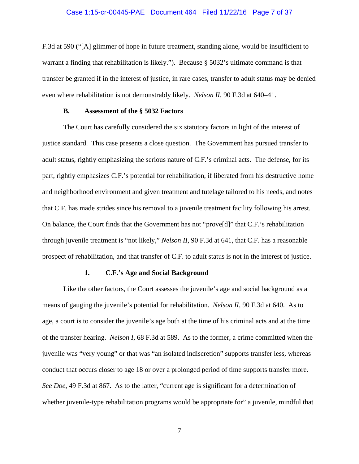#### Case 1:15-cr-00445-PAE Document 464 Filed 11/22/16 Page 7 of 37

F.3d at 590 ("[A] glimmer of hope in future treatment, standing alone, would be insufficient to warrant a finding that rehabilitation is likely."). Because § 5032's ultimate command is that transfer be granted if in the interest of justice, in rare cases, transfer to adult status may be denied even where rehabilitation is not demonstrably likely. *Nelson II*, 90 F.3d at 640–41.

### **B. Assessment of the § 5032 Factors**

The Court has carefully considered the six statutory factors in light of the interest of justice standard. This case presents a close question. The Government has pursued transfer to adult status, rightly emphasizing the serious nature of C.F.'s criminal acts. The defense, for its part, rightly emphasizes C.F.'s potential for rehabilitation, if liberated from his destructive home and neighborhood environment and given treatment and tutelage tailored to his needs, and notes that C.F. has made strides since his removal to a juvenile treatment facility following his arrest. On balance, the Court finds that the Government has not "prove[d]" that C.F.'s rehabilitation through juvenile treatment is "not likely," *Nelson II*, 90 F.3d at 641, that C.F. has a reasonable prospect of rehabilitation, and that transfer of C.F. to adult status is not in the interest of justice.

### **1. C.F.'s Age and Social Background**

Like the other factors, the Court assesses the juvenile's age and social background as a means of gauging the juvenile's potential for rehabilitation. *Nelson II*, 90 F.3d at 640. As to age, a court is to consider the juvenile's age both at the time of his criminal acts and at the time of the transfer hearing. *Nelson I*, 68 F.3d at 589. As to the former, a crime committed when the juvenile was "very young" or that was "an isolated indiscretion" supports transfer less, whereas conduct that occurs closer to age 18 or over a prolonged period of time supports transfer more. *See Doe*, 49 F.3d at 867. As to the latter, "current age is significant for a determination of whether juvenile-type rehabilitation programs would be appropriate for" a juvenile, mindful that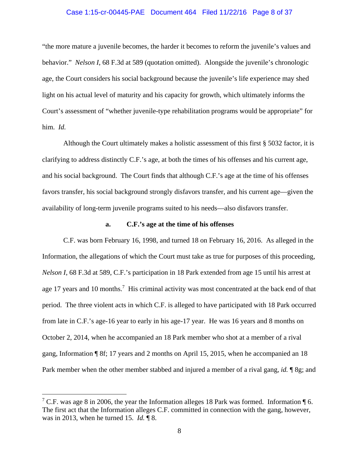### Case 1:15-cr-00445-PAE Document 464 Filed 11/22/16 Page 8 of 37

"the more mature a juvenile becomes, the harder it becomes to reform the juvenile's values and behavior." *Nelson I*, 68 F.3d at 589 (quotation omitted). Alongside the juvenile's chronologic age, the Court considers his social background because the juvenile's life experience may shed light on his actual level of maturity and his capacity for growth, which ultimately informs the Court's assessment of "whether juvenile-type rehabilitation programs would be appropriate" for him. *Id.*

Although the Court ultimately makes a holistic assessment of this first § 5032 factor, it is clarifying to address distinctly C.F.'s age, at both the times of his offenses and his current age, and his social background. The Court finds that although C.F.'s age at the time of his offenses favors transfer, his social background strongly disfavors transfer, and his current age—given the availability of long-term juvenile programs suited to his needs—also disfavors transfer.

### **a. C.F.'s age at the time of his offenses**

C.F. was born February 16, 1998, and turned 18 on February 16, 2016. As alleged in the Information, the allegations of which the Court must take as true for purposes of this proceeding, *Nelson I*, 68 F.3d at 589, C.F.'s participation in 18 Park extended from age 15 until his arrest at age 17 years and 10 months.<sup>7</sup> His criminal activity was most concentrated at the back end of that period. The three violent acts in which C.F. is alleged to have participated with 18 Park occurred from late in C.F.'s age-16 year to early in his age-17 year. He was 16 years and 8 months on October 2, 2014, when he accompanied an 18 Park member who shot at a member of a rival gang, Information ¶ 8f; 17 years and 2 months on April 15, 2015, when he accompanied an 18 Park member when the other member stabbed and injured a member of a rival gang, *id.* ¶ 8g; and

<sup>&</sup>lt;sup>7</sup> C.F. was age 8 in 2006, the year the Information alleges 18 Park was formed. Information  $\P$  6. The first act that the Information alleges C.F. committed in connection with the gang, however, was in 2013, when he turned 15. *Id.* ¶ 8.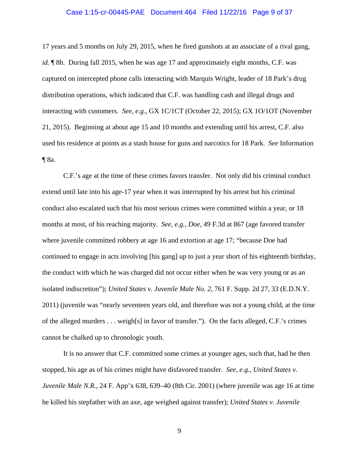### Case 1:15-cr-00445-PAE Document 464 Filed 11/22/16 Page 9 of 37

17 years and 5 months on July 29, 2015, when he fired gunshots at an associate of a rival gang, *id.*  $\parallel$  8h. During fall 2015, when he was age 17 and approximately eight months, C.F. was captured on intercepted phone calls interacting with Marquis Wright, leader of 18 Park's drug distribution operations, which indicated that C.F. was handling cash and illegal drugs and interacting with customers. *See, e.g.*, GX 1C/1CT (October 22, 2015); GX 1O/1OT (November 21, 2015). Beginning at about age 15 and 10 months and extending until his arrest, C.F. also used his residence at points as a stash house for guns and narcotics for 18 Park. *See* Information ¶ 8a.

C.F.'s age at the time of these crimes favors transfer. Not only did his criminal conduct extend until late into his age-17 year when it was interrupted by his arrest but his criminal conduct also escalated such that his most serious crimes were committed within a year, or 18 months at most, of his reaching majority. *See, e.g.*, *Doe*, 49 F.3d at 867 (age favored transfer where juvenile committed robbery at age 16 and extortion at age 17; "because Doe had continued to engage in acts involving [his gang] up to just a year short of his eighteenth birthday, the conduct with which he was charged did not occur either when he was very young or as an isolated indiscretion"); *United States v. Juvenile Male No. 2*, 761 F. Supp. 2d 27, 33 (E.D.N.Y. 2011) (juvenile was "nearly seventeen years old, and therefore was not a young child, at the time of the alleged murders . . . weigh[s] in favor of transfer."). On the facts alleged, C.F.'s crimes cannot be chalked up to chronologic youth.

It is no answer that C.F. committed some crimes at younger ages, such that, had he then stopped, his age as of his crimes might have disfavored transfer. *See, e.g.*, *United States v. Juvenile Male N.R.*, 24 F. App'x 638, 639–40 (8th Cir. 2001) (where juvenile was age 16 at time he killed his stepfather with an axe, age weighed against transfer); *United States v. Juvenile*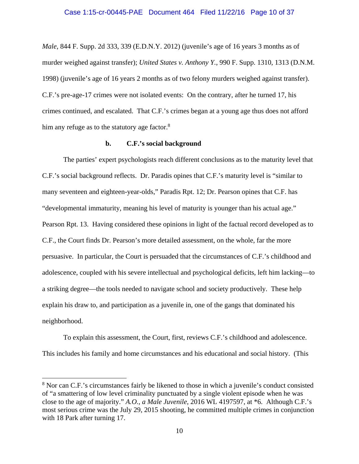*Male*, 844 F. Supp. 2d 333, 339 (E.D.N.Y. 2012) (juvenile's age of 16 years 3 months as of murder weighed against transfer); *United States v. Anthony Y.*, 990 F. Supp. 1310, 1313 (D.N.M. 1998) (juvenile's age of 16 years 2 months as of two felony murders weighed against transfer). C.F.'s pre-age-17 crimes were not isolated events: On the contrary, after he turned 17, his crimes continued, and escalated. That C.F.'s crimes began at a young age thus does not afford him any refuge as to the statutory age factor.<sup>8</sup>

### **b. C.F.'s social background**

The parties' expert psychologists reach different conclusions as to the maturity level that C.F.'s social background reflects. Dr. Paradis opines that C.F.'s maturity level is "similar to many seventeen and eighteen-year-olds," Paradis Rpt. 12; Dr. Pearson opines that C.F. has "developmental immaturity, meaning his level of maturity is younger than his actual age." Pearson Rpt. 13. Having considered these opinions in light of the factual record developed as to C.F., the Court finds Dr. Pearson's more detailed assessment, on the whole, far the more persuasive. In particular, the Court is persuaded that the circumstances of C.F.'s childhood and adolescence, coupled with his severe intellectual and psychological deficits, left him lacking—to a striking degree—the tools needed to navigate school and society productively. These help explain his draw to, and participation as a juvenile in, one of the gangs that dominated his neighborhood.

To explain this assessment, the Court, first, reviews C.F.'s childhood and adolescence. This includes his family and home circumstances and his educational and social history. (This

 $\overline{a}$ 

<sup>&</sup>lt;sup>8</sup> Nor can C.F.'s circumstances fairly be likened to those in which a juvenile's conduct consisted of "a smattering of low level criminality punctuated by a single violent episode when he was close to the age of majority." *A.O., a Male Juvenile*, 2016 WL 4197597, at \*6. Although C.F.'s most serious crime was the July 29, 2015 shooting, he committed multiple crimes in conjunction with 18 Park after turning 17.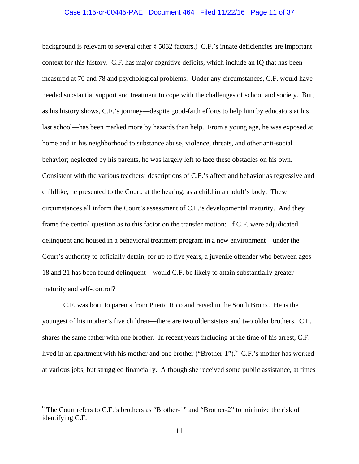#### Case 1:15-cr-00445-PAE Document 464 Filed 11/22/16 Page 11 of 37

background is relevant to several other § 5032 factors.) C.F.'s innate deficiencies are important context for this history. C.F. has major cognitive deficits, which include an IQ that has been measured at 70 and 78 and psychological problems. Under any circumstances, C.F. would have needed substantial support and treatment to cope with the challenges of school and society. But, as his history shows, C.F.'s journey—despite good-faith efforts to help him by educators at his last school—has been marked more by hazards than help. From a young age, he was exposed at home and in his neighborhood to substance abuse, violence, threats, and other anti-social behavior; neglected by his parents, he was largely left to face these obstacles on his own. Consistent with the various teachers' descriptions of C.F.'s affect and behavior as regressive and childlike, he presented to the Court, at the hearing, as a child in an adult's body. These circumstances all inform the Court's assessment of C.F.'s developmental maturity. And they frame the central question as to this factor on the transfer motion: If C.F. were adjudicated delinquent and housed in a behavioral treatment program in a new environment—under the Court's authority to officially detain, for up to five years, a juvenile offender who between ages 18 and 21 has been found delinquent—would C.F. be likely to attain substantially greater maturity and self-control?

C.F. was born to parents from Puerto Rico and raised in the South Bronx. He is the youngest of his mother's five children—there are two older sisters and two older brothers. C.F. shares the same father with one brother. In recent years including at the time of his arrest, C.F. lived in an apartment with his mother and one brother ("Brother-1").<sup>9</sup> C.F.'s mother has worked at various jobs, but struggled financially. Although she received some public assistance, at times

 $\overline{a}$ 

<sup>&</sup>lt;sup>9</sup> The Court refers to C.F.'s brothers as "Brother-1" and "Brother-2" to minimize the risk of identifying C.F.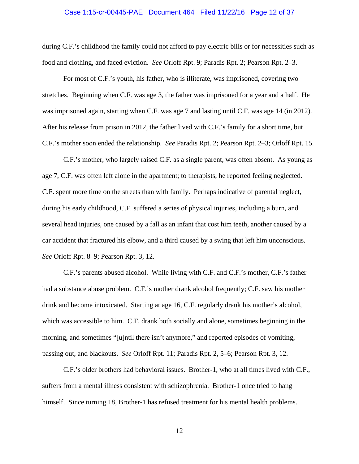# Case 1:15-cr-00445-PAE Document 464 Filed 11/22/16 Page 12 of 37

during C.F.'s childhood the family could not afford to pay electric bills or for necessities such as food and clothing, and faced eviction. *See* Orloff Rpt. 9; Paradis Rpt. 2; Pearson Rpt. 2–3.

For most of C.F.'s youth, his father, who is illiterate, was imprisoned, covering two stretches. Beginning when C.F. was age 3, the father was imprisoned for a year and a half. He was imprisoned again, starting when C.F. was age 7 and lasting until C.F. was age 14 (in 2012). After his release from prison in 2012, the father lived with C.F.'s family for a short time, but C.F.'s mother soon ended the relationship. *See* Paradis Rpt. 2; Pearson Rpt. 2–3; Orloff Rpt. 15.

C.F.'s mother, who largely raised C.F. as a single parent, was often absent. As young as age 7, C.F. was often left alone in the apartment; to therapists, he reported feeling neglected. C.F. spent more time on the streets than with family. Perhaps indicative of parental neglect, during his early childhood, C.F. suffered a series of physical injuries, including a burn, and several head injuries, one caused by a fall as an infant that cost him teeth, another caused by a car accident that fractured his elbow, and a third caused by a swing that left him unconscious. *See* Orloff Rpt. 8–9; Pearson Rpt. 3, 12.

C.F.'s parents abused alcohol. While living with C.F. and C.F.'s mother, C.F.'s father had a substance abuse problem. C.F.'s mother drank alcohol frequently; C.F. saw his mother drink and become intoxicated. Starting at age 16, C.F. regularly drank his mother's alcohol, which was accessible to him. C.F. drank both socially and alone, sometimes beginning in the morning, and sometimes "[u]ntil there isn't anymore," and reported episodes of vomiting, passing out, and blackouts. *See* Orloff Rpt. 11; Paradis Rpt. 2, 5–6; Pearson Rpt. 3, 12.

C.F.'s older brothers had behavioral issues. Brother-1, who at all times lived with C.F., suffers from a mental illness consistent with schizophrenia. Brother-1 once tried to hang himself. Since turning 18, Brother-1 has refused treatment for his mental health problems.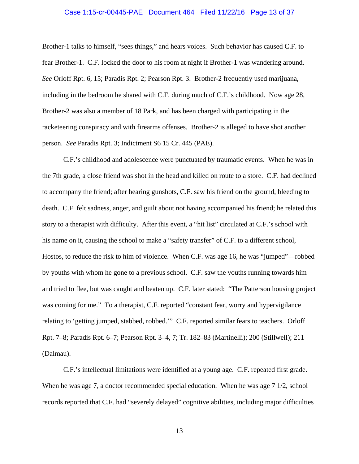### Case 1:15-cr-00445-PAE Document 464 Filed 11/22/16 Page 13 of 37

Brother-1 talks to himself, "sees things," and hears voices. Such behavior has caused C.F. to fear Brother-1. C.F. locked the door to his room at night if Brother-1 was wandering around. *See* Orloff Rpt. 6, 15; Paradis Rpt. 2; Pearson Rpt. 3. Brother-2 frequently used marijuana, including in the bedroom he shared with C.F. during much of C.F.'s childhood. Now age 28, Brother-2 was also a member of 18 Park, and has been charged with participating in the racketeering conspiracy and with firearms offenses. Brother-2 is alleged to have shot another person. *See* Paradis Rpt. 3; Indictment S6 15 Cr. 445 (PAE).

C.F.'s childhood and adolescence were punctuated by traumatic events. When he was in the 7th grade, a close friend was shot in the head and killed on route to a store. C.F. had declined to accompany the friend; after hearing gunshots, C.F. saw his friend on the ground, bleeding to death. C.F. felt sadness, anger, and guilt about not having accompanied his friend; he related this story to a therapist with difficulty. After this event, a "hit list" circulated at C.F.'s school with his name on it, causing the school to make a "safety transfer" of C.F. to a different school, Hostos, to reduce the risk to him of violence. When C.F. was age 16, he was "jumped"—robbed by youths with whom he gone to a previous school. C.F. saw the youths running towards him and tried to flee, but was caught and beaten up. C.F. later stated: "The Patterson housing project was coming for me." To a therapist, C.F. reported "constant fear, worry and hypervigilance relating to 'getting jumped, stabbed, robbed.'" C.F. reported similar fears to teachers. Orloff Rpt. 7–8; Paradis Rpt. 6–7; Pearson Rpt. 3–4, 7; Tr. 182–83 (Martinelli); 200 (Stillwell); 211 (Dalmau).

C.F.'s intellectual limitations were identified at a young age. C.F. repeated first grade. When he was age 7, a doctor recommended special education. When he was age 7 1/2, school records reported that C.F. had "severely delayed" cognitive abilities, including major difficulties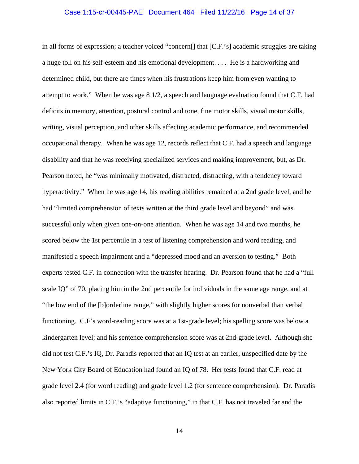#### Case 1:15-cr-00445-PAE Document 464 Filed 11/22/16 Page 14 of 37

in all forms of expression; a teacher voiced "concern[] that [C.F.'s] academic struggles are taking a huge toll on his self-esteem and his emotional development. . . . He is a hardworking and determined child, but there are times when his frustrations keep him from even wanting to attempt to work." When he was age 8 1/2, a speech and language evaluation found that C.F. had deficits in memory, attention, postural control and tone, fine motor skills, visual motor skills, writing, visual perception, and other skills affecting academic performance, and recommended occupational therapy. When he was age 12, records reflect that C.F. had a speech and language disability and that he was receiving specialized services and making improvement, but, as Dr. Pearson noted, he "was minimally motivated, distracted, distracting, with a tendency toward hyperactivity." When he was age 14, his reading abilities remained at a 2nd grade level, and he had "limited comprehension of texts written at the third grade level and beyond" and was successful only when given one-on-one attention. When he was age 14 and two months, he scored below the 1st percentile in a test of listening comprehension and word reading, and manifested a speech impairment and a "depressed mood and an aversion to testing." Both experts tested C.F. in connection with the transfer hearing. Dr. Pearson found that he had a "full scale IQ" of 70, placing him in the 2nd percentile for individuals in the same age range, and at "the low end of the [b]orderline range," with slightly higher scores for nonverbal than verbal functioning. C.F's word-reading score was at a 1st-grade level; his spelling score was below a kindergarten level; and his sentence comprehension score was at 2nd-grade level. Although she did not test C.F.'s IQ, Dr. Paradis reported that an IQ test at an earlier, unspecified date by the New York City Board of Education had found an IQ of 78. Her tests found that C.F. read at grade level 2.4 (for word reading) and grade level 1.2 (for sentence comprehension). Dr. Paradis also reported limits in C.F.'s "adaptive functioning," in that C.F. has not traveled far and the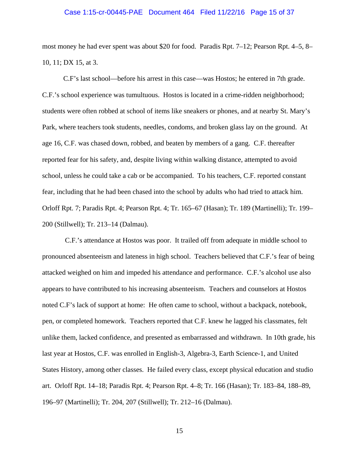## Case 1:15-cr-00445-PAE Document 464 Filed 11/22/16 Page 15 of 37

most money he had ever spent was about \$20 for food. Paradis Rpt. 7–12; Pearson Rpt. 4–5, 8– 10, 11; DX 15, at 3.

C.F's last school—before his arrest in this case—was Hostos; he entered in 7th grade. C.F.'s school experience was tumultuous. Hostos is located in a crime-ridden neighborhood; students were often robbed at school of items like sneakers or phones, and at nearby St. Mary's Park, where teachers took students, needles, condoms, and broken glass lay on the ground. At age 16, C.F. was chased down, robbed, and beaten by members of a gang. C.F. thereafter reported fear for his safety, and, despite living within walking distance, attempted to avoid school, unless he could take a cab or be accompanied. To his teachers, C.F. reported constant fear, including that he had been chased into the school by adults who had tried to attack him. Orloff Rpt. 7; Paradis Rpt. 4; Pearson Rpt. 4; Tr. 165–67 (Hasan); Tr. 189 (Martinelli); Tr. 199– 200 (Stillwell); Tr. 213–14 (Dalmau).

 C.F.'s attendance at Hostos was poor. It trailed off from adequate in middle school to pronounced absenteeism and lateness in high school. Teachers believed that C.F.'s fear of being attacked weighed on him and impeded his attendance and performance. C.F.'s alcohol use also appears to have contributed to his increasing absenteeism. Teachers and counselors at Hostos noted C.F's lack of support at home: He often came to school, without a backpack, notebook, pen, or completed homework. Teachers reported that C.F. knew he lagged his classmates, felt unlike them, lacked confidence, and presented as embarrassed and withdrawn. In 10th grade, his last year at Hostos, C.F. was enrolled in English-3, Algebra-3, Earth Science-1, and United States History, among other classes. He failed every class, except physical education and studio art. Orloff Rpt. 14–18; Paradis Rpt. 4; Pearson Rpt. 4–8; Tr. 166 (Hasan); Tr. 183–84, 188–89, 196–97 (Martinelli); Tr. 204, 207 (Stillwell); Tr. 212–16 (Dalmau).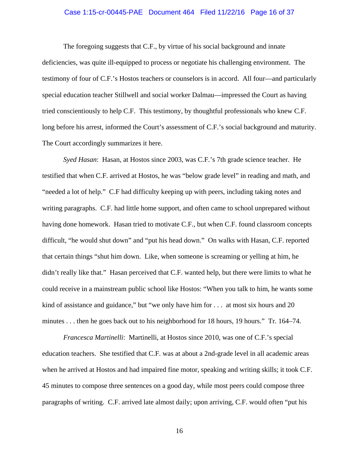# Case 1:15-cr-00445-PAE Document 464 Filed 11/22/16 Page 16 of 37

The foregoing suggests that C.F., by virtue of his social background and innate deficiencies, was quite ill-equipped to process or negotiate his challenging environment. The testimony of four of C.F.'s Hostos teachers or counselors is in accord. All four—and particularly special education teacher Stillwell and social worker Dalmau—impressed the Court as having tried conscientiously to help C.F. This testimony, by thoughtful professionals who knew C.F. long before his arrest, informed the Court's assessment of C.F.'s social background and maturity. The Court accordingly summarizes it here.

*Syed Hasan*: Hasan, at Hostos since 2003, was C.F.'s 7th grade science teacher. He testified that when C.F. arrived at Hostos, he was "below grade level" in reading and math, and "needed a lot of help." C.F had difficulty keeping up with peers, including taking notes and writing paragraphs. C.F. had little home support, and often came to school unprepared without having done homework. Hasan tried to motivate C.F., but when C.F. found classroom concepts difficult, "he would shut down" and "put his head down." On walks with Hasan, C.F. reported that certain things "shut him down. Like, when someone is screaming or yelling at him, he didn't really like that." Hasan perceived that C.F. wanted help, but there were limits to what he could receive in a mainstream public school like Hostos: "When you talk to him, he wants some kind of assistance and guidance," but "we only have him for ... at most six hours and 20 minutes . . . then he goes back out to his neighborhood for 18 hours, 19 hours." Tr. 164–74.

*Francesca Martinelli*: Martinelli, at Hostos since 2010, was one of C.F.'s special education teachers. She testified that C.F. was at about a 2nd-grade level in all academic areas when he arrived at Hostos and had impaired fine motor, speaking and writing skills; it took C.F. 45 minutes to compose three sentences on a good day, while most peers could compose three paragraphs of writing. C.F. arrived late almost daily; upon arriving, C.F. would often "put his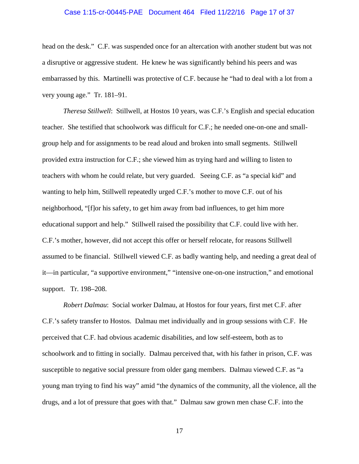### Case 1:15-cr-00445-PAE Document 464 Filed 11/22/16 Page 17 of 37

head on the desk." C.F. was suspended once for an altercation with another student but was not a disruptive or aggressive student. He knew he was significantly behind his peers and was embarrassed by this. Martinelli was protective of C.F. because he "had to deal with a lot from a very young age." Tr. 181–91.

*Theresa Stillwell*: Stillwell, at Hostos 10 years, was C.F.'s English and special education teacher. She testified that schoolwork was difficult for C.F.; he needed one-on-one and smallgroup help and for assignments to be read aloud and broken into small segments. Stillwell provided extra instruction for C.F.; she viewed him as trying hard and willing to listen to teachers with whom he could relate, but very guarded. Seeing C.F. as "a special kid" and wanting to help him, Stillwell repeatedly urged C.F.'s mother to move C.F. out of his neighborhood, "[f]or his safety, to get him away from bad influences, to get him more educational support and help." Stillwell raised the possibility that C.F. could live with her. C.F.'s mother, however, did not accept this offer or herself relocate, for reasons Stillwell assumed to be financial. Stillwell viewed C.F. as badly wanting help, and needing a great deal of it—in particular, "a supportive environment," "intensive one-on-one instruction," and emotional support. Tr. 198–208.

*Robert Dalmau*: Social worker Dalmau, at Hostos for four years, first met C.F. after C.F.'s safety transfer to Hostos. Dalmau met individually and in group sessions with C.F. He perceived that C.F. had obvious academic disabilities, and low self-esteem, both as to schoolwork and to fitting in socially. Dalmau perceived that, with his father in prison, C.F. was susceptible to negative social pressure from older gang members. Dalmau viewed C.F. as "a young man trying to find his way" amid "the dynamics of the community, all the violence, all the drugs, and a lot of pressure that goes with that." Dalmau saw grown men chase C.F. into the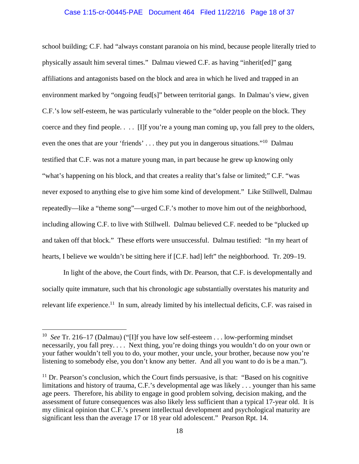### Case 1:15-cr-00445-PAE Document 464 Filed 11/22/16 Page 18 of 37

school building; C.F. had "always constant paranoia on his mind, because people literally tried to physically assault him several times." Dalmau viewed C.F. as having "inherit[ed]" gang affiliations and antagonists based on the block and area in which he lived and trapped in an environment marked by "ongoing feud[s]" between territorial gangs. In Dalmau's view, given C.F.'s low self-esteem, he was particularly vulnerable to the "older people on the block. They coerce and they find people. . . . [I]f you're a young man coming up, you fall prey to the olders, even the ones that are your 'friends' . . . they put you in dangerous situations."<sup>10</sup> Dalmau testified that C.F. was not a mature young man, in part because he grew up knowing only "what's happening on his block, and that creates a reality that's false or limited;" C.F. "was never exposed to anything else to give him some kind of development." Like Stillwell, Dalmau repeatedly—like a "theme song"—urged C.F.'s mother to move him out of the neighborhood, including allowing C.F. to live with Stillwell. Dalmau believed C.F. needed to be "plucked up and taken off that block." These efforts were unsuccessful. Dalmau testified: "In my heart of hearts, I believe we wouldn't be sitting here if [C.F. had] left" the neighborhood. Tr. 209–19.

In light of the above, the Court finds, with Dr. Pearson, that C.F. is developmentally and socially quite immature, such that his chronologic age substantially overstates his maturity and relevant life experience.<sup>11</sup> In sum, already limited by his intellectual deficits, C.F. was raised in

 $\overline{a}$ 

<sup>10</sup> *See* Tr. 216–17 (Dalmau) ("[I]f you have low self-esteem . . . low-performing mindset necessarily, you fall prey. . . . Next thing, you're doing things you wouldn't do on your own or your father wouldn't tell you to do, your mother, your uncle, your brother, because now you're listening to somebody else, you don't know any better. And all you want to do is be a man.").

 $11$  Dr. Pearson's conclusion, which the Court finds persuasive, is that: "Based on his cognitive limitations and history of trauma, C.F.'s developmental age was likely . . . younger than his same age peers. Therefore, his ability to engage in good problem solving, decision making, and the assessment of future consequences was also likely less sufficient than a typical 17-year old. It is my clinical opinion that C.F.'s present intellectual development and psychological maturity are significant less than the average 17 or 18 year old adolescent." Pearson Rpt. 14.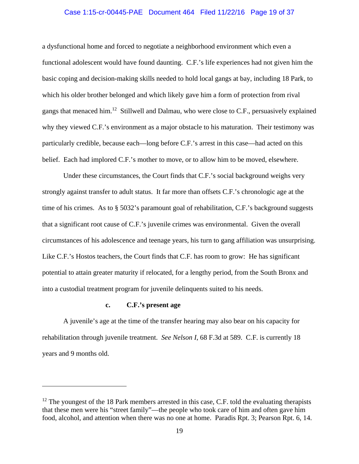### Case 1:15-cr-00445-PAE Document 464 Filed 11/22/16 Page 19 of 37

a dysfunctional home and forced to negotiate a neighborhood environment which even a functional adolescent would have found daunting. C.F.'s life experiences had not given him the basic coping and decision-making skills needed to hold local gangs at bay, including 18 Park, to which his older brother belonged and which likely gave him a form of protection from rival gangs that menaced him.<sup>12</sup> Stillwell and Dalmau, who were close to C.F., persuasively explained why they viewed C.F.'s environment as a major obstacle to his maturation. Their testimony was particularly credible, because each—long before C.F.'s arrest in this case—had acted on this belief. Each had implored C.F.'s mother to move, or to allow him to be moved, elsewhere.

Under these circumstances, the Court finds that C.F.'s social background weighs very strongly against transfer to adult status. It far more than offsets C.F.'s chronologic age at the time of his crimes. As to § 5032's paramount goal of rehabilitation, C.F.'s background suggests that a significant root cause of C.F.'s juvenile crimes was environmental. Given the overall circumstances of his adolescence and teenage years, his turn to gang affiliation was unsurprising. Like C.F.'s Hostos teachers, the Court finds that C.F. has room to grow: He has significant potential to attain greater maturity if relocated, for a lengthy period, from the South Bronx and into a custodial treatment program for juvenile delinquents suited to his needs.

## **c. C.F.'s present age**

 $\overline{a}$ 

A juvenile's age at the time of the transfer hearing may also bear on his capacity for rehabilitation through juvenile treatment. *See Nelson I*, 68 F.3d at 589. C.F. is currently 18 years and 9 months old.

 $12$  The youngest of the 18 Park members arrested in this case, C.F. told the evaluating therapists that these men were his "street family"—the people who took care of him and often gave him food, alcohol, and attention when there was no one at home. Paradis Rpt. 3; Pearson Rpt. 6, 14.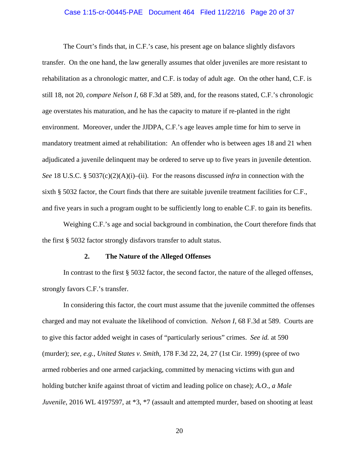# Case 1:15-cr-00445-PAE Document 464 Filed 11/22/16 Page 20 of 37

The Court's finds that, in C.F.'s case, his present age on balance slightly disfavors transfer. On the one hand, the law generally assumes that older juveniles are more resistant to rehabilitation as a chronologic matter, and C.F. is today of adult age. On the other hand, C.F. is still 18, not 20, *compare Nelson I*, 68 F.3d at 589, and, for the reasons stated, C.F.'s chronologic age overstates his maturation, and he has the capacity to mature if re-planted in the right environment. Moreover, under the JJDPA, C.F.'s age leaves ample time for him to serve in mandatory treatment aimed at rehabilitation: An offender who is between ages 18 and 21 when adjudicated a juvenile delinquent may be ordered to serve up to five years in juvenile detention. *See* 18 U.S.C. § 5037(c)(2)(A)(i)–(ii). For the reasons discussed *infra* in connection with the sixth § 5032 factor, the Court finds that there are suitable juvenile treatment facilities for C.F., and five years in such a program ought to be sufficiently long to enable C.F. to gain its benefits.

Weighing C.F.'s age and social background in combination, the Court therefore finds that the first § 5032 factor strongly disfavors transfer to adult status.

### **2. The Nature of the Alleged Offenses**

In contrast to the first § 5032 factor, the second factor, the nature of the alleged offenses, strongly favors C.F.'s transfer.

In considering this factor, the court must assume that the juvenile committed the offenses charged and may not evaluate the likelihood of conviction. *Nelson I*, 68 F.3d at 589. Courts are to give this factor added weight in cases of "particularly serious" crimes. *See id.* at 590 (murder); *see, e.g.*, *United States v. Smith*, 178 F.3d 22, 24, 27 (1st Cir. 1999) (spree of two armed robberies and one armed carjacking, committed by menacing victims with gun and holding butcher knife against throat of victim and leading police on chase); *A.O., a Male Juvenile*, 2016 WL 4197597, at  $*3$ ,  $*7$  (assault and attempted murder, based on shooting at least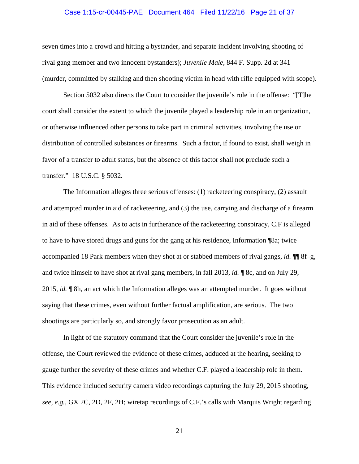# Case 1:15-cr-00445-PAE Document 464 Filed 11/22/16 Page 21 of 37

seven times into a crowd and hitting a bystander, and separate incident involving shooting of rival gang member and two innocent bystanders); *Juvenile Male*, 844 F. Supp. 2d at 341 (murder, committed by stalking and then shooting victim in head with rifle equipped with scope).

Section 5032 also directs the Court to consider the juvenile's role in the offense: "[T]he court shall consider the extent to which the juvenile played a leadership role in an organization, or otherwise influenced other persons to take part in criminal activities, involving the use or distribution of controlled substances or firearms. Such a factor, if found to exist, shall weigh in favor of a transfer to adult status, but the absence of this factor shall not preclude such a transfer." 18 U.S.C. § 5032*.*

The Information alleges three serious offenses: (1) racketeering conspiracy, (2) assault and attempted murder in aid of racketeering, and (3) the use, carrying and discharge of a firearm in aid of these offenses. As to acts in furtherance of the racketeering conspiracy, C.F is alleged to have to have stored drugs and guns for the gang at his residence, Information ¶8a; twice accompanied 18 Park members when they shot at or stabbed members of rival gangs, *id.* ¶¶ 8f–g, and twice himself to have shot at rival gang members, in fall 2013, *id.* ¶ 8c, and on July 29, 2015, *id.* ¶ 8h, an act which the Information alleges was an attempted murder. It goes without saying that these crimes, even without further factual amplification, are serious. The two shootings are particularly so, and strongly favor prosecution as an adult.

In light of the statutory command that the Court consider the juvenile's role in the offense, the Court reviewed the evidence of these crimes, adduced at the hearing, seeking to gauge further the severity of these crimes and whether C.F. played a leadership role in them. This evidence included security camera video recordings capturing the July 29, 2015 shooting, *see, e.g.*, GX 2C, 2D, 2F, 2H; wiretap recordings of C.F.'s calls with Marquis Wright regarding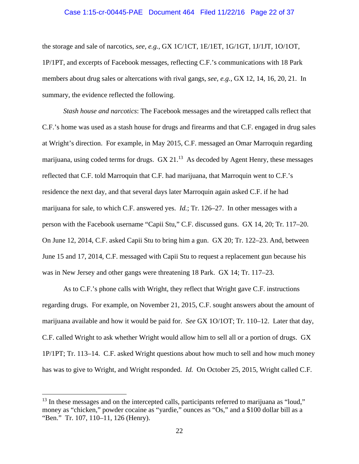### Case 1:15-cr-00445-PAE Document 464 Filed 11/22/16 Page 22 of 37

the storage and sale of narcotics, *see, e.g.*, GX 1C/1CT, 1E/1ET, 1G/1GT, 1J/1JT, 1O/1OT, 1P/1PT, and excerpts of Facebook messages, reflecting C.F.'s communications with 18 Park members about drug sales or altercations with rival gangs, *see, e.g.*, GX 12, 14, 16, 20, 21. In summary, the evidence reflected the following.

*Stash house and narcotics*: The Facebook messages and the wiretapped calls reflect that C.F.'s home was used as a stash house for drugs and firearms and that C.F. engaged in drug sales at Wright's direction. For example, in May 2015, C.F. messaged an Omar Marroquin regarding marijuana, using coded terms for drugs.  $GX 21<sup>13</sup>$  As decoded by Agent Henry, these messages reflected that C.F. told Marroquin that C.F. had marijuana, that Marroquin went to C.F.'s residence the next day, and that several days later Marroquin again asked C.F. if he had marijuana for sale, to which C.F. answered yes. *Id.*; Tr. 126–27. In other messages with a person with the Facebook username "Capii Stu," C.F. discussed guns. GX 14, 20; Tr. 117–20. On June 12, 2014, C.F. asked Capii Stu to bring him a gun. GX 20; Tr. 122–23. And, between June 15 and 17, 2014, C.F. messaged with Capii Stu to request a replacement gun because his was in New Jersey and other gangs were threatening 18 Park. GX 14; Tr. 117–23.

As to C.F.'s phone calls with Wright, they reflect that Wright gave C.F. instructions regarding drugs. For example, on November 21, 2015, C.F. sought answers about the amount of marijuana available and how it would be paid for. *See* GX 1O/1OT; Tr. 110–12. Later that day, C.F. called Wright to ask whether Wright would allow him to sell all or a portion of drugs. GX 1P/1PT; Tr. 113–14. C.F. asked Wright questions about how much to sell and how much money has was to give to Wright, and Wright responded. *Id.* On October 25, 2015, Wright called C.F.

 $13$  In these messages and on the intercepted calls, participants referred to marijuana as "loud," money as "chicken," powder cocaine as "yardie," ounces as "Os," and a \$100 dollar bill as a "Ben." Tr. 107, 110–11, 126 (Henry).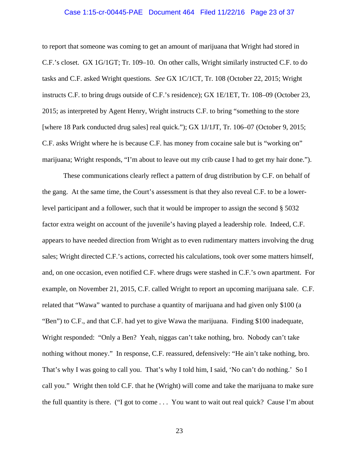#### Case 1:15-cr-00445-PAE Document 464 Filed 11/22/16 Page 23 of 37

to report that someone was coming to get an amount of marijuana that Wright had stored in C.F.'s closet. GX 1G/1GT; Tr. 109–10. On other calls, Wright similarly instructed C.F. to do tasks and C.F. asked Wright questions. *See* GX 1C/1CT, Tr. 108 (October 22, 2015; Wright instructs C.F. to bring drugs outside of C.F.'s residence); GX 1E/1ET, Tr. 108–09 (October 23, 2015; as interpreted by Agent Henry, Wright instructs C.F. to bring "something to the store [where 18 Park conducted drug sales] real quick."); GX 1J/1JT, Tr. 106–07 (October 9, 2015; C.F. asks Wright where he is because C.F. has money from cocaine sale but is "working on" marijuana; Wright responds, "I'm about to leave out my crib cause I had to get my hair done.").

These communications clearly reflect a pattern of drug distribution by C.F. on behalf of the gang. At the same time, the Court's assessment is that they also reveal C.F. to be a lowerlevel participant and a follower, such that it would be improper to assign the second § 5032 factor extra weight on account of the juvenile's having played a leadership role. Indeed, C.F. appears to have needed direction from Wright as to even rudimentary matters involving the drug sales; Wright directed C.F.'s actions, corrected his calculations, took over some matters himself, and, on one occasion, even notified C.F. where drugs were stashed in C.F.'s own apartment. For example, on November 21, 2015, C.F. called Wright to report an upcoming marijuana sale. C.F. related that "Wawa" wanted to purchase a quantity of marijuana and had given only \$100 (a "Ben") to C.F., and that C.F. had yet to give Wawa the marijuana. Finding \$100 inadequate, Wright responded: "Only a Ben? Yeah, niggas can't take nothing, bro. Nobody can't take nothing without money." In response, C.F. reassured, defensively: "He ain't take nothing, bro. That's why I was going to call you. That's why I told him, I said, 'No can't do nothing.' So I call you." Wright then told C.F. that he (Wright) will come and take the marijuana to make sure the full quantity is there. ("I got to come . . . You want to wait out real quick? Cause I'm about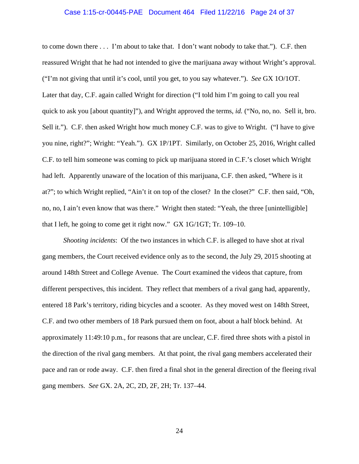# Case 1:15-cr-00445-PAE Document 464 Filed 11/22/16 Page 24 of 37

to come down there . . . I'm about to take that. I don't want nobody to take that."). C.F. then reassured Wright that he had not intended to give the marijuana away without Wright's approval. ("I'm not giving that until it's cool, until you get, to you say whatever."). *See* GX 1O/1OT. Later that day, C.F. again called Wright for direction ("I told him I'm going to call you real quick to ask you [about quantity]"), and Wright approved the terms, *id.* ("No, no, no. Sell it, bro. Sell it."). C.F. then asked Wright how much money C.F. was to give to Wright. ("I have to give you nine, right?"; Wright: "Yeah."). GX 1P/1PT. Similarly, on October 25, 2016, Wright called C.F. to tell him someone was coming to pick up marijuana stored in C.F.'s closet which Wright had left. Apparently unaware of the location of this marijuana, C.F. then asked, "Where is it at?"; to which Wright replied, "Ain't it on top of the closet? In the closet?" C.F. then said, "Oh, no, no, I ain't even know that was there." Wright then stated: "Yeah, the three [unintelligible] that I left, he going to come get it right now." GX 1G/1GT; Tr. 109–10.

*Shooting incidents*: Of the two instances in which C.F. is alleged to have shot at rival gang members, the Court received evidence only as to the second, the July 29, 2015 shooting at around 148th Street and College Avenue. The Court examined the videos that capture, from different perspectives, this incident. They reflect that members of a rival gang had, apparently, entered 18 Park's territory, riding bicycles and a scooter. As they moved west on 148th Street, C.F. and two other members of 18 Park pursued them on foot, about a half block behind. At approximately 11:49:10 p.m., for reasons that are unclear, C.F. fired three shots with a pistol in the direction of the rival gang members. At that point, the rival gang members accelerated their pace and ran or rode away. C.F. then fired a final shot in the general direction of the fleeing rival gang members. *See* GX. 2A, 2C, 2D, 2F, 2H; Tr. 137–44.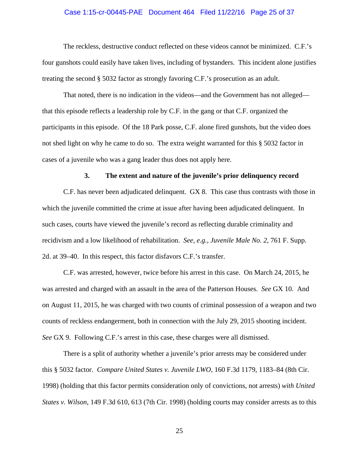# Case 1:15-cr-00445-PAE Document 464 Filed 11/22/16 Page 25 of 37

The reckless, destructive conduct reflected on these videos cannot be minimized. C.F.'s four gunshots could easily have taken lives, including of bystanders. This incident alone justifies treating the second § 5032 factor as strongly favoring C.F.'s prosecution as an adult.

That noted, there is no indication in the videos—and the Government has not alleged that this episode reflects a leadership role by C.F. in the gang or that C.F. organized the participants in this episode. Of the 18 Park posse, C.F. alone fired gunshots, but the video does not shed light on why he came to do so. The extra weight warranted for this § 5032 factor in cases of a juvenile who was a gang leader thus does not apply here.

#### **3. The extent and nature of the juvenile's prior delinquency record**

C.F. has never been adjudicated delinquent. GX 8. This case thus contrasts with those in which the juvenile committed the crime at issue after having been adjudicated delinquent. In such cases, courts have viewed the juvenile's record as reflecting durable criminality and recidivism and a low likelihood of rehabilitation. *See, e.g.*, *Juvenile Male No. 2*, 761 F. Supp. 2d. at 39–40. In this respect, this factor disfavors C.F.'s transfer.

C.F. was arrested, however, twice before his arrest in this case. On March 24, 2015, he was arrested and charged with an assault in the area of the Patterson Houses. *See* GX 10. And on August 11, 2015, he was charged with two counts of criminal possession of a weapon and two counts of reckless endangerment, both in connection with the July 29, 2015 shooting incident. *See* GX 9. Following C.F.'s arrest in this case, these charges were all dismissed.

There is a split of authority whether a juvenile's prior arrests may be considered under this § 5032 factor. *Compare United States v. Juvenile LWO*, 160 F.3d 1179, 1183–84 (8th Cir. 1998) (holding that this factor permits consideration only of convictions, not arrests) *with United States v. Wilson*, 149 F.3d 610, 613 (7th Cir. 1998) (holding courts may consider arrests as to this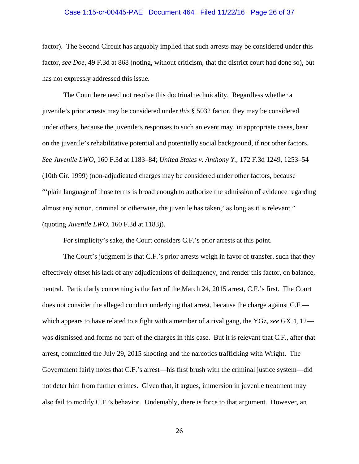# Case 1:15-cr-00445-PAE Document 464 Filed 11/22/16 Page 26 of 37

factor). The Second Circuit has arguably implied that such arrests may be considered under this factor, *see Doe*, 49 F.3d at 868 (noting, without criticism, that the district court had done so), but has not expressly addressed this issue.

The Court here need not resolve this doctrinal technicality. Regardless whether a juvenile's prior arrests may be considered under *this* § 5032 factor, they may be considered under others, because the juvenile's responses to such an event may, in appropriate cases, bear on the juvenile's rehabilitative potential and potentially social background, if not other factors. *See Juvenile LWO*, 160 F.3d at 1183–84; *United States v. Anthony Y.*, 172 F.3d 1249, 1253–54 (10th Cir. 1999) (non-adjudicated charges may be considered under other factors, because "'plain language of those terms is broad enough to authorize the admission of evidence regarding almost any action, criminal or otherwise, the juvenile has taken,' as long as it is relevant." (quoting *Juvenile LWO*, 160 F.3d at 1183)).

For simplicity's sake, the Court considers C.F.'s prior arrests at this point.

The Court's judgment is that C.F.'s prior arrests weigh in favor of transfer, such that they effectively offset his lack of any adjudications of delinquency, and render this factor, on balance, neutral. Particularly concerning is the fact of the March 24, 2015 arrest, C.F.'s first. The Court does not consider the alleged conduct underlying that arrest, because the charge against C.F. which appears to have related to a fight with a member of a rival gang, the YGz, *see* GX 4, 12 was dismissed and forms no part of the charges in this case. But it is relevant that C.F., after that arrest, committed the July 29, 2015 shooting and the narcotics trafficking with Wright. The Government fairly notes that C.F.'s arrest—his first brush with the criminal justice system—did not deter him from further crimes. Given that, it argues, immersion in juvenile treatment may also fail to modify C.F.'s behavior. Undeniably, there is force to that argument. However, an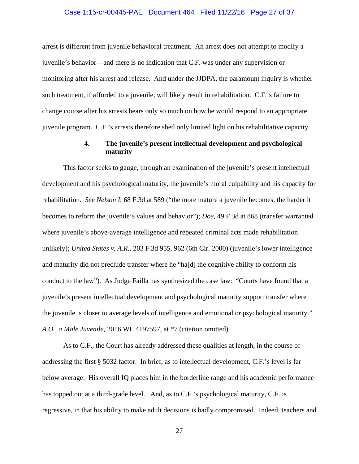### Case 1:15-cr-00445-PAE Document 464 Filed 11/22/16 Page 27 of 37

arrest is different from juvenile behavioral treatment. An arrest does not attempt to modify a juvenile's behavior—and there is no indication that C.F. was under any supervision or monitoring after his arrest and release. And under the JJDPA, the paramount inquiry is whether such treatment, if afforded to a juvenile, will likely result in rehabilitation. C.F.'s failure to change course after his arrests bears only so much on how he would respond to an appropriate juvenile program. C.F.'s arrests therefore shed only limited light on his rehabilitative capacity.

## **4. The juvenile's present intellectual development and psychological maturity**

This factor seeks to gauge, through an examination of the juvenile's present intellectual development and his psychological maturity, the juvenile's moral culpability and his capacity for rehabilitation. *See Nelson I*, 68 F.3d at 589 ("the more mature a juvenile becomes, the harder it becomes to reform the juvenile's values and behavior"); *Doe*, 49 F.3d at 868 (transfer warranted where juvenile's above-average intelligence and repeated criminal acts made rehabilitation unlikely); *United States v. A.R.,* 203 F.3d 955, 962 (6th Cir. 2000) (juvenile's lower intelligence and maturity did not preclude transfer where he "ha[d] the cognitive ability to conform his conduct to the law"). As Judge Failla has synthesized the case law: "Courts have found that a juvenile's present intellectual development and psychological maturity support transfer where the juvenile is closer to average levels of intelligence and emotional or psychological maturity." *A.O., a Male Juvenile*, 2016 WL 4197597, at \*7 (citation omitted).

As to C.F., the Court has already addressed these qualities at length, in the course of addressing the first § 5032 factor. In brief, as to intellectual development, C.F.'s level is far below average: His overall IQ places him in the borderline range and his academic performance has topped out at a third-grade level. And, as to C.F.'s psychological maturity, C.F. is regressive, in that his ability to make adult decisions is badly compromised. Indeed, teachers and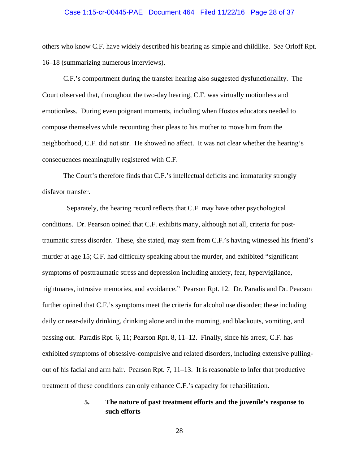# Case 1:15-cr-00445-PAE Document 464 Filed 11/22/16 Page 28 of 37

others who know C.F. have widely described his bearing as simple and childlike. *See* Orloff Rpt. 16–18 (summarizing numerous interviews).

C.F.'s comportment during the transfer hearing also suggested dysfunctionality. The Court observed that, throughout the two-day hearing, C.F. was virtually motionless and emotionless. During even poignant moments, including when Hostos educators needed to compose themselves while recounting their pleas to his mother to move him from the neighborhood, C.F. did not stir. He showed no affect. It was not clear whether the hearing's consequences meaningfully registered with C.F.

The Court's therefore finds that C.F.'s intellectual deficits and immaturity strongly disfavor transfer.

Separately, the hearing record reflects that C.F. may have other psychological conditions. Dr. Pearson opined that C.F. exhibits many, although not all, criteria for posttraumatic stress disorder. These, she stated, may stem from C.F.'s having witnessed his friend's murder at age 15; C.F. had difficulty speaking about the murder, and exhibited "significant symptoms of posttraumatic stress and depression including anxiety, fear, hypervigilance, nightmares, intrusive memories, and avoidance." Pearson Rpt. 12. Dr. Paradis and Dr. Pearson further opined that C.F.'s symptoms meet the criteria for alcohol use disorder; these including daily or near-daily drinking, drinking alone and in the morning, and blackouts, vomiting, and passing out. Paradis Rpt. 6, 11; Pearson Rpt. 8, 11–12.Finally, since his arrest, C.F. has exhibited symptoms of obsessive-compulsive and related disorders, including extensive pullingout of his facial and arm hair. Pearson Rpt. 7, 11–13. It is reasonable to infer that productive treatment of these conditions can only enhance C.F.'s capacity for rehabilitation.

# **5. The nature of past treatment efforts and the juvenile's response to such efforts**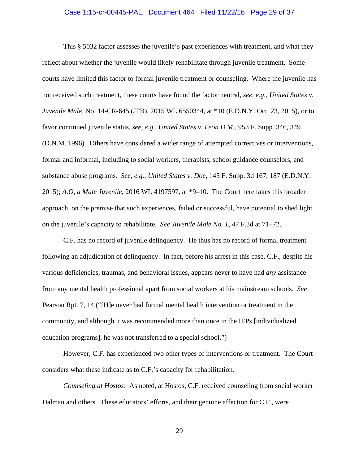### Case 1:15-cr-00445-PAE Document 464 Filed 11/22/16 Page 29 of 37

This § 5032 factor assesses the juvenile's past experiences with treatment, and what they reflect about whether the juvenile would likely rehabilitate through juvenile treatment. Some courts have limited this factor to formal juvenile treatment or counseling. Where the juvenile has not received such treatment, these courts have found the factor neutral, *see, e.g.*, *United States v. Juvenile Male,* No. 14-CR-645 (JFB), 2015 WL 6550344, at \*10 (E.D.N.Y. Oct. 23, 2015), or to favor continued juvenile status, *see, e.g.*, *United States v. Leon D.M.*, 953 F. Supp. 346, 349 (D.N.M. 1996). Others have considered a wider range of attempted correctives or interventions, formal and informal, including to social workers, therapists, school guidance counselors, and substance abuse programs. *See, e.g.*, *United States v. Doe*, 145 F. Supp. 3d 167, 187 (E.D.N.Y. 2015); *A.O, a Male Juvenile*, 2016 WL 4197597, at \*9–10. The Court here takes this broader approach, on the premise that such experiences, failed or successful, have potential to shed light on the juvenile's capacity to rehabilitate. *See Juvenile Male No. 1*, 47 F.3d at 71–72.

C.F. has no record of juvenile delinquency. He thus has no record of formal treatment following an adjudication of delinquency. In fact, before his arrest in this case, C.F., despite his various deficiencies, traumas, and behavioral issues, appears never to have had *any* assistance from any mental health professional apart from social workers at his mainstream schools. *See*  Pearson Rpt. 7, 14 ("[H]e never had formal mental health intervention or treatment in the community, and although it was recommended more than once in the IEPs [individualized education programs], he was not transferred to a special school.")

However, C.F. has experienced two other types of interventions or treatment. The Court considers what these indicate as to C.F.'s capacity for rehabilitation.

*Counseling at Hostos*: As noted, at Hostos, C.F. received counseling from social worker Dalmau and others. These educators' efforts, and their genuine affection for C.F., were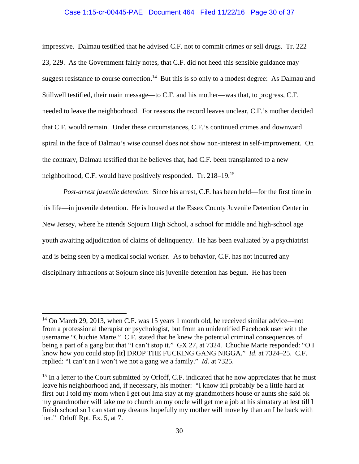### Case 1:15-cr-00445-PAE Document 464 Filed 11/22/16 Page 30 of 37

impressive. Dalmau testified that he advised C.F. not to commit crimes or sell drugs. Tr. 222– 23, 229. As the Government fairly notes, that C.F. did not heed this sensible guidance may suggest resistance to course correction.<sup>14</sup> But this is so only to a modest degree: As Dalmau and Stillwell testified, their main message—to C.F. and his mother—was that, to progress, C.F. needed to leave the neighborhood. For reasons the record leaves unclear, C.F.'s mother decided that C.F. would remain. Under these circumstances, C.F.'s continued crimes and downward spiral in the face of Dalmau's wise counsel does not show non-interest in self-improvement. On the contrary, Dalmau testified that he believes that, had C.F. been transplanted to a new neighborhood, C.F. would have positively responded. Tr. 218–19.15

*Post-arrest juvenile detention*:Since his arrest, C.F. has been held—for the first time in his life—in juvenile detention. He is housed at the Essex County Juvenile Detention Center in New Jersey, where he attends Sojourn High School, a school for middle and high-school age youth awaiting adjudication of claims of delinquency. He has been evaluated by a psychiatrist and is being seen by a medical social worker. As to behavior, C.F. has not incurred any disciplinary infractions at Sojourn since his juvenile detention has begun. He has been

 $\overline{a}$ 

<sup>&</sup>lt;sup>14</sup> On March 29, 2013, when C.F. was 15 years 1 month old, he received similar advice—not from a professional therapist or psychologist, but from an unidentified Facebook user with the username "Chuchie Marte." C.F. stated that he knew the potential criminal consequences of being a part of a gang but that "I can't stop it." GX 27, at 7324. Chuchie Marte responded: "O I know how you could stop [it] DROP THE FUCKING GANG NIGGA." *Id*. at 7324–25. C.F. replied: "I can't an I won't we not a gang we a family." *Id.* at 7325.

 $15$  In a letter to the Court submitted by Orloff, C.F. indicated that he now appreciates that he must leave his neighborhood and, if necessary, his mother: "I know itil probably be a little hard at first but I told my mom when I get out Ima stay at my grandmothers house or aunts she said ok my grandmother will take me to church an my oncle will get me a job at his simatary at lest till I finish school so I can start my dreams hopefully my mother will move by than an I be back with her." Orloff Rpt. Ex. 5, at 7.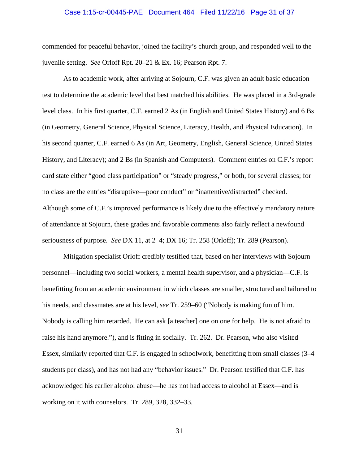# Case 1:15-cr-00445-PAE Document 464 Filed 11/22/16 Page 31 of 37

commended for peaceful behavior, joined the facility's church group, and responded well to the juvenile setting. *See* Orloff Rpt. 20–21 & Ex. 16; Pearson Rpt. 7.

As to academic work, after arriving at Sojourn, C.F. was given an adult basic education test to determine the academic level that best matched his abilities. He was placed in a 3rd-grade level class. In his first quarter, C.F. earned 2 As (in English and United States History) and 6 Bs (in Geometry, General Science, Physical Science, Literacy, Health, and Physical Education). In his second quarter, C.F. earned 6 As (in Art, Geometry, English, General Science, United States History, and Literacy); and 2 Bs (in Spanish and Computers). Comment entries on C.F.'s report card state either "good class participation" or "steady progress," or both, for several classes; for no class are the entries "disruptive—poor conduct" or "inattentive/distracted" checked. Although some of C.F.'s improved performance is likely due to the effectively mandatory nature of attendance at Sojourn, these grades and favorable comments also fairly reflect a newfound seriousness of purpose. *See* DX 11, at 2–4; DX 16; Tr. 258 (Orloff); Tr. 289 (Pearson).

Mitigation specialist Orloff credibly testified that, based on her interviews with Sojourn personnel—including two social workers, a mental health supervisor, and a physician—C.F. is benefitting from an academic environment in which classes are smaller, structured and tailored to his needs, and classmates are at his level, *see* Tr. 259–60 ("Nobody is making fun of him. Nobody is calling him retarded. He can ask [a teacher] one on one for help. He is not afraid to raise his hand anymore."), and is fitting in socially. Tr. 262. Dr. Pearson, who also visited Essex, similarly reported that C.F. is engaged in schoolwork, benefitting from small classes (3–4 students per class), and has not had any "behavior issues." Dr. Pearson testified that C.F. has acknowledged his earlier alcohol abuse—he has not had access to alcohol at Essex—and is working on it with counselors. Tr. 289, 328, 332–33.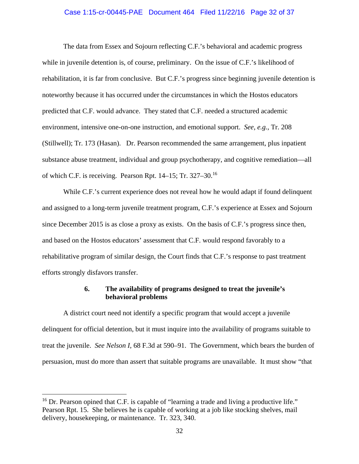### Case 1:15-cr-00445-PAE Document 464 Filed 11/22/16 Page 32 of 37

The data from Essex and Sojourn reflecting C.F.'s behavioral and academic progress while in juvenile detention is, of course, preliminary. On the issue of C.F.'s likelihood of rehabilitation, it is far from conclusive. But C.F.'s progress since beginning juvenile detention is noteworthy because it has occurred under the circumstances in which the Hostos educators predicted that C.F. would advance. They stated that C.F. needed a structured academic environment, intensive one-on-one instruction, and emotional support. *See, e.g.*, Tr. 208 (Stillwell); Tr. 173 (Hasan). Dr. Pearson recommended the same arrangement, plus inpatient substance abuse treatment, individual and group psychotherapy, and cognitive remediation—all of which C.F. is receiving. Pearson Rpt. 14–15; Tr. 327–30.<sup>16</sup>

While C.F.'s current experience does not reveal how he would adapt if found delinquent and assigned to a long-term juvenile treatment program, C.F.'s experience at Essex and Sojourn since December 2015 is as close a proxy as exists. On the basis of C.F.'s progress since then, and based on the Hostos educators' assessment that C.F. would respond favorably to a rehabilitative program of similar design, the Court finds that C.F.'s response to past treatment efforts strongly disfavors transfer.

## **6. The availability of programs designed to treat the juvenile's behavioral problems**

A district court need not identify a specific program that would accept a juvenile delinquent for official detention, but it must inquire into the availability of programs suitable to treat the juvenile. *See Nelson I*, 68 F.3d at 590–91. The Government, which bears the burden of persuasion, must do more than assert that suitable programs are unavailable. It must show "that

<sup>&</sup>lt;sup>16</sup> Dr. Pearson opined that C.F. is capable of "learning a trade and living a productive life." Pearson Rpt. 15. She believes he is capable of working at a job like stocking shelves, mail delivery, housekeeping, or maintenance. Tr. 323, 340.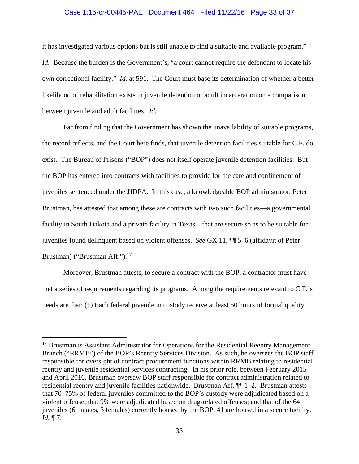### Case 1:15-cr-00445-PAE Document 464 Filed 11/22/16 Page 33 of 37

it has investigated various options but is still unable to find a suitable and available program." *Id.* Because the burden is the Government's, "a court cannot require the defendant to locate his own correctional facility." *Id.* at 591. The Court must base its determination of whether a better likelihood of rehabilitation exists in juvenile detention or adult incarceration on a comparison between juvenile and adult facilities. *Id.*

 Far from finding that the Government has shown the unavailability of suitable programs, the record reflects, and the Court here finds, that juvenile detention facilities suitable for C.F. do exist. The Bureau of Prisons ("BOP") does not itself operate juvenile detention facilities. But the BOP has entered into contracts with facilities to provide for the care and confinement of juveniles sentenced under the JJDPA. In this case, a knowledgeable BOP administrator, Peter Brustman, has attested that among these are contracts with two such facilities—a governmental facility in South Dakota and a private facility in Texas—that are secure so as to be suitable for juveniles found delinquent based on violent offenses. *See* GX 11, ¶¶ 5–6 (affidavit of Peter Brustman) ("Brustman Aff.").<sup>17</sup>

 Moreover, Brustman attests, to secure a contract with the BOP, a contractor must have met a series of requirements regarding its programs. Among the requirements relevant to C.F.'s needs are that: (1) Each federal juvenile in custody receive at least 50 hours of formal quality

 $\overline{a}$ 

<sup>&</sup>lt;sup>17</sup> Brustman is Assistant Administrator for Operations for the Residential Reentry Management Branch ("RRMB") of the BOP's Reentry Services Division. As such, he oversees the BOP staff responsible for oversight of contract procurement functions within RRMB relating to residential reentry and juvenile residential services contracting. In his prior role, between February 2015 and April 2016, Brustman oversaw BOP staff responsible for contract administration related to residential reentry and juvenile facilities nationwide. Brustman Aff. ¶¶ 1–2. Brustman attests that 70–75% of federal juveniles committed to the BOP's custody were adjudicated based on a violent offense; that 9% were adjudicated based on drug-related offenses; and that of the 64 juveniles (61 males, 3 females) currently housed by the BOP, 41 are housed in a secure facility. *Id.* ¶ 7.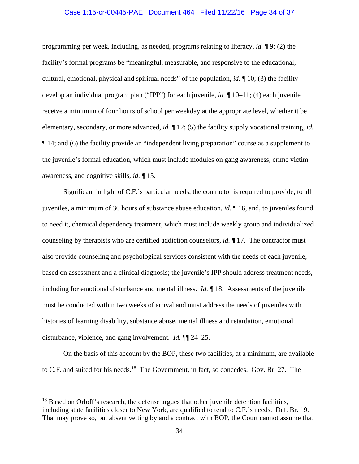### Case 1:15-cr-00445-PAE Document 464 Filed 11/22/16 Page 34 of 37

programming per week, including, as needed, programs relating to literacy, *id.* ¶ 9; (2) the facility's formal programs be "meaningful, measurable, and responsive to the educational, cultural, emotional, physical and spiritual needs" of the population, *id.* ¶ 10; (3) the facility develop an individual program plan ("IPP") for each juvenile, *id.* ¶ 10–11; (4) each juvenile receive a minimum of four hours of school per weekday at the appropriate level, whether it be elementary, secondary, or more advanced, *id.* ¶ 12; (5) the facility supply vocational training, *id.*  ¶ 14; and (6) the facility provide an "independent living preparation" course as a supplement to the juvenile's formal education, which must include modules on gang awareness, crime victim awareness, and cognitive skills, *id.* ¶ 15.

 Significant in light of C.F.'s particular needs, the contractor is required to provide, to all juveniles, a minimum of 30 hours of substance abuse education, *id*. ¶ 16, and, to juveniles found to need it, chemical dependency treatment, which must include weekly group and individualized counseling by therapists who are certified addiction counselors, *id.* ¶ 17. The contractor must also provide counseling and psychological services consistent with the needs of each juvenile, based on assessment and a clinical diagnosis; the juvenile's IPP should address treatment needs, including for emotional disturbance and mental illness. *Id.* ¶ 18. Assessments of the juvenile must be conducted within two weeks of arrival and must address the needs of juveniles with histories of learning disability, substance abuse, mental illness and retardation, emotional disturbance, violence, and gang involvement. *Id.* ¶¶ 24–25.

 On the basis of this account by the BOP, these two facilities, at a minimum, are available to C.F. and suited for his needs.<sup>18</sup> The Government, in fact, so concedes. Gov. Br. 27. The

 $\overline{a}$ 

 $18$  Based on Orloff's research, the defense argues that other juvenile detention facilities, including state facilities closer to New York, are qualified to tend to C.F.'s needs. Def. Br. 19. That may prove so, but absent vetting by and a contract with BOP, the Court cannot assume that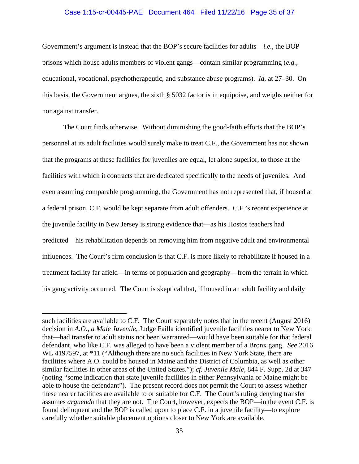#### Case 1:15-cr-00445-PAE Document 464 Filed 11/22/16 Page 35 of 37

Government's argument is instead that the BOP's secure facilities for adults—*i.e.*, the BOP prisons which house adults members of violent gangs—contain similar programming (*e.g.*, educational, vocational, psychotherapeutic, and substance abuse programs). *Id.* at 27–30. On this basis, the Government argues, the sixth § 5032 factor is in equipoise, and weighs neither for nor against transfer.

 The Court finds otherwise. Without diminishing the good-faith efforts that the BOP's personnel at its adult facilities would surely make to treat C.F., the Government has not shown that the programs at these facilities for juveniles are equal, let alone superior, to those at the facilities with which it contracts that are dedicated specifically to the needs of juveniles. And even assuming comparable programming, the Government has not represented that, if housed at a federal prison, C.F. would be kept separate from adult offenders. C.F.'s recent experience at the juvenile facility in New Jersey is strong evidence that—as his Hostos teachers had predicted—his rehabilitation depends on removing him from negative adult and environmental influences. The Court's firm conclusion is that C.F. is more likely to rehabilitate if housed in a treatment facility far afield—in terms of population and geography—from the terrain in which his gang activity occurred. The Court is skeptical that, if housed in an adult facility and daily

such facilities are available to C.F. The Court separately notes that in the recent (August 2016) decision in *A.O., a Male Juvenile*, Judge Failla identified juvenile facilities nearer to New York that—had transfer to adult status not been warranted—would have been suitable for that federal defendant, who like C.F. was alleged to have been a violent member of a Bronx gang. *See* 2016 WL 4197597, at \*11 ("Although there are no such facilities in New York State, there are facilities where A.O. could be housed in Maine and the District of Columbia, as well as other similar facilities in other areas of the United States."); *cf. Juvenile Male*, 844 F. Supp. 2d at 347 (noting "some indication that state juvenile facilities in either Pennsylvania or Maine might be able to house the defendant"). The present record does not permit the Court to assess whether these nearer facilities are available to or suitable for C.F. The Court's ruling denying transfer assumes *arguendo* that they are not. The Court, however, expects the BOP—in the event C.F. is found delinquent and the BOP is called upon to place C.F. in a juvenile facility—to explore carefully whether suitable placement options closer to New York are available.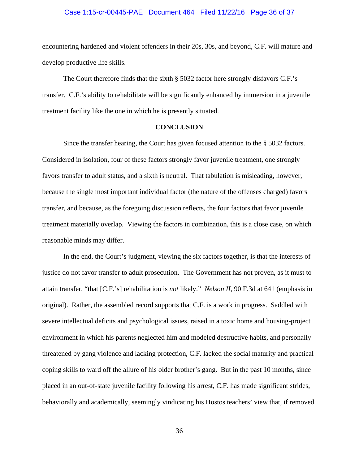# Case 1:15-cr-00445-PAE Document 464 Filed 11/22/16 Page 36 of 37

encountering hardened and violent offenders in their 20s, 30s, and beyond, C.F. will mature and develop productive life skills.

The Court therefore finds that the sixth  $\S$  5032 factor here strongly disfavors C.F.'s transfer. C.F.'s ability to rehabilitate will be significantly enhanced by immersion in a juvenile treatment facility like the one in which he is presently situated.

### **CONCLUSION**

 Since the transfer hearing, the Court has given focused attention to the § 5032 factors. Considered in isolation, four of these factors strongly favor juvenile treatment, one strongly favors transfer to adult status, and a sixth is neutral. That tabulation is misleading, however, because the single most important individual factor (the nature of the offenses charged) favors transfer, and because, as the foregoing discussion reflects, the four factors that favor juvenile treatment materially overlap. Viewing the factors in combination, this is a close case, on which reasonable minds may differ.

In the end, the Court's judgment, viewing the six factors together, is that the interests of justice do not favor transfer to adult prosecution. The Government has not proven, as it must to attain transfer, "that [C.F.'s] rehabilitation is *not* likely." *Nelson II*, 90 F.3d at 641 (emphasis in original). Rather, the assembled record supports that C.F. is a work in progress. Saddled with severe intellectual deficits and psychological issues, raised in a toxic home and housing-project environment in which his parents neglected him and modeled destructive habits, and personally threatened by gang violence and lacking protection, C.F. lacked the social maturity and practical coping skills to ward off the allure of his older brother's gang. But in the past 10 months, since placed in an out-of-state juvenile facility following his arrest, C.F. has made significant strides, behaviorally and academically, seemingly vindicating his Hostos teachers' view that, if removed